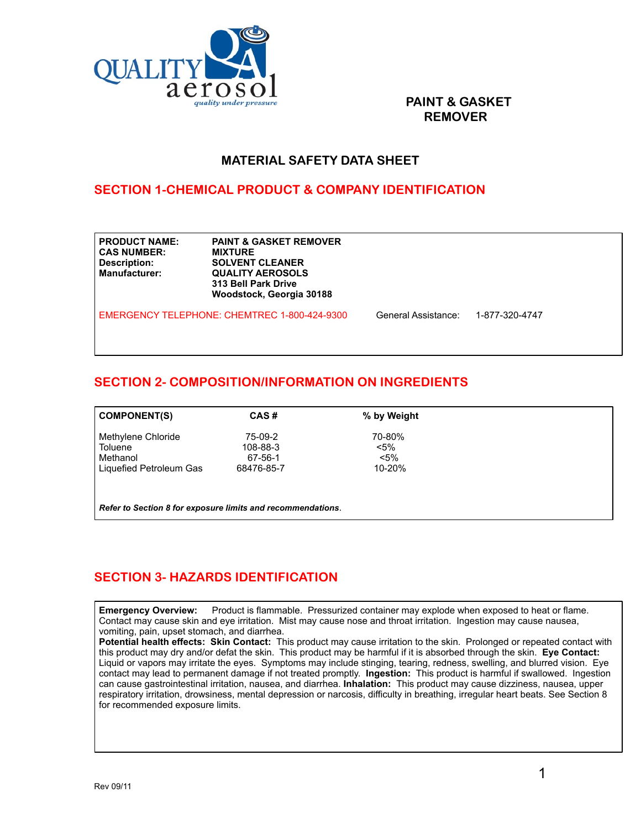

#### **PAINT & GASKET REMOVER**

#### **MATERIAL SAFETY DATA SHEET**

# **SECTION 1-CHEMICAL PRODUCT & COMPANY IDENTIFICATION**

| <b>PRODUCT NAME:</b><br><b>CAS NUMBER:</b><br>Description:<br><b>Manufacturer:</b> | <b>PAINT &amp; GASKET REMOVER</b><br><b>MIXTURE</b><br><b>SOLVENT CLEANER</b><br><b>QUALITY AEROSOLS</b><br>313 Bell Park Drive<br>Woodstock, Georgia 30188 |                     |                |
|------------------------------------------------------------------------------------|-------------------------------------------------------------------------------------------------------------------------------------------------------------|---------------------|----------------|
|                                                                                    | EMERGENCY TELEPHONE: CHEMTREC 1-800-424-9300                                                                                                                | General Assistance: | 1-877-320-4747 |

# **SECTION 2- COMPOSITION/INFORMATION ON INGREDIENTS**

| <b>COMPONENT(S)</b>                                         | CAS#       | % by Weight |  |  |
|-------------------------------------------------------------|------------|-------------|--|--|
|                                                             |            |             |  |  |
| Methylene Chloride                                          | 75-09-2    | 70-80%      |  |  |
| Toluene                                                     | 108-88-3   | $< 5\%$     |  |  |
| Methanol                                                    | 67-56-1    | $< 5\%$     |  |  |
| Liquefied Petroleum Gas                                     | 68476-85-7 | 10-20%      |  |  |
|                                                             |            |             |  |  |
|                                                             |            |             |  |  |
|                                                             |            |             |  |  |
| Refer to Section 8 for exposure limits and recommendations. |            |             |  |  |

# **SECTION 3- HAZARDS IDENTIFICATION**

**Emergency Overview:** Product is flammable. Pressurized container may explode when exposed to heat or flame. Contact may cause skin and eye irritation. Mist may cause nose and throat irritation. Ingestion may cause nausea, vomiting, pain, upset stomach, and diarrhea.

**Potential health effects: Skin Contact:** This product may cause irritation to the skin. Prolonged or repeated contact with this product may dry and/or defat the skin. This product may be harmful if it is absorbed through the skin. **Eye Contact:**  Liquid or vapors may irritate the eyes. Symptoms may include stinging, tearing, redness, swelling, and blurred vision. Eye contact may lead to permanent damage if not treated promptly. **Ingestion:** This product is harmful if swallowed. Ingestion can cause gastrointestinal irritation, nausea, and diarrhea. **Inhalation:** This product may cause dizziness, nausea, upper respiratory irritation, drowsiness, mental depression or narcosis, difficulty in breathing, irregular heart beats. See Section 8 for recommended exposure limits.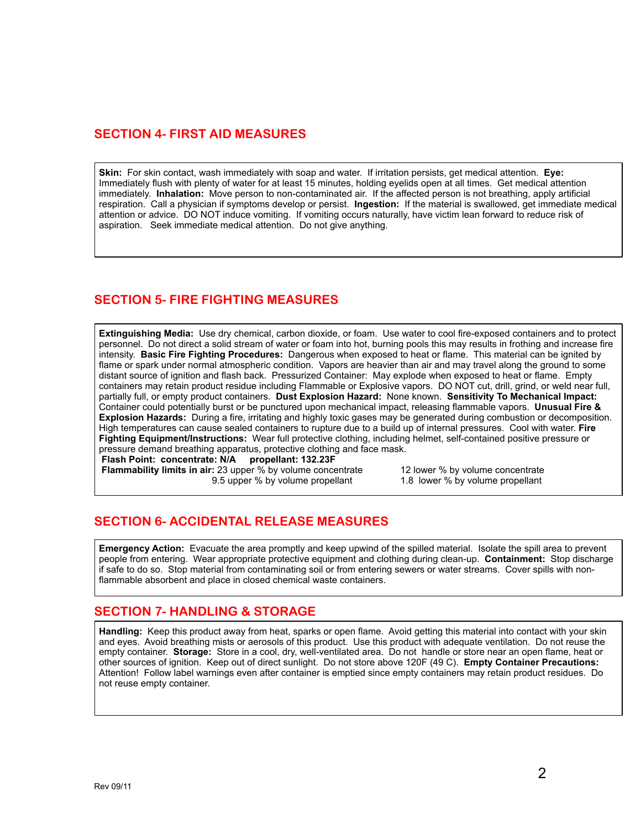#### **SECTION 4- FIRST AID MEASURES**

**Skin:** For skin contact, wash immediately with soap and water. If irritation persists, get medical attention. **Eye:** Immediately flush with plenty of water for at least 15 minutes, holding eyelids open at all times. Get medical attention immediately. **Inhalation:** Move person to non-contaminated air. If the affected person is not breathing, apply artificial respiration. Call a physician if symptoms develop or persist. **Ingestion:** If the material is swallowed, get immediate medical attention or advice. DO NOT induce vomiting. If vomiting occurs naturally, have victim lean forward to reduce risk of aspiration. Seek immediate medical attention. Do not give anything.

# **SECTION 5- FIRE FIGHTING MEASURES**

**Extinguishing Media:** Use dry chemical, carbon dioxide, or foam. Use water to cool fire-exposed containers and to protect personnel. Do not direct a solid stream of water or foam into hot, burning pools this may results in frothing and increase fire intensity. **Basic Fire Fighting Procedures:** Dangerous when exposed to heat or flame. This material can be ignited by flame or spark under normal atmospheric condition. Vapors are heavier than air and may travel along the ground to some distant source of ignition and flash back. Pressurized Container: May explode when exposed to heat or flame. Empty containers may retain product residue including Flammable or Explosive vapors. DO NOT cut, drill, grind, or weld near full, partially full, or empty product containers. **Dust Explosion Hazard:** None known. **Sensitivity To Mechanical Impact:**  Container could potentially burst or be punctured upon mechanical impact, releasing flammable vapors. **Unusual Fire & Explosion Hazards:** During a fire, irritating and highly toxic gases may be generated during combustion or decomposition. High temperatures can cause sealed containers to rupture due to a build up of internal pressures. Cool with water. **Fire Fighting Equipment/Instructions:** Wear full protective clothing, including helmet, self-contained positive pressure or pressure demand breathing apparatus, protective clothing and face mask.

**Flash Point: concentrate: N/A propellant: 132.23F**

9.5 upper % by volume propellant

**Flammability limits in air:** 23 upper % by volume concentrate 12 lower % by volume concentrate 9.5 upper % by volume propellant 1.8 lower % by volume propellant

#### **SECTION 6- ACCIDENTAL RELEASE MEASURES**

**Emergency Action:** Evacuate the area promptly and keep upwind of the spilled material. Isolate the spill area to prevent people from entering. Wear appropriate protective equipment and clothing during clean-up. **Containment:** Stop discharge if safe to do so. Stop material from contaminating soil or from entering sewers or water streams. Cover spills with nonflammable absorbent and place in closed chemical waste containers.

#### **SECTION 7- HANDLING & STORAGE**

**Handling:** Keep this product away from heat, sparks or open flame. Avoid getting this material into contact with your skin and eyes. Avoid breathing mists or aerosols of this product. Use this product with adequate ventilation. Do not reuse the empty container. **Storage:** Store in a cool, dry, well-ventilated area. Do not handle or store near an open flame, heat or other sources of ignition. Keep out of direct sunlight. Do not store above 120F (49 C). **Empty Container Precautions:**  Attention! Follow label warnings even after container is emptied since empty containers may retain product residues. Do not reuse empty container.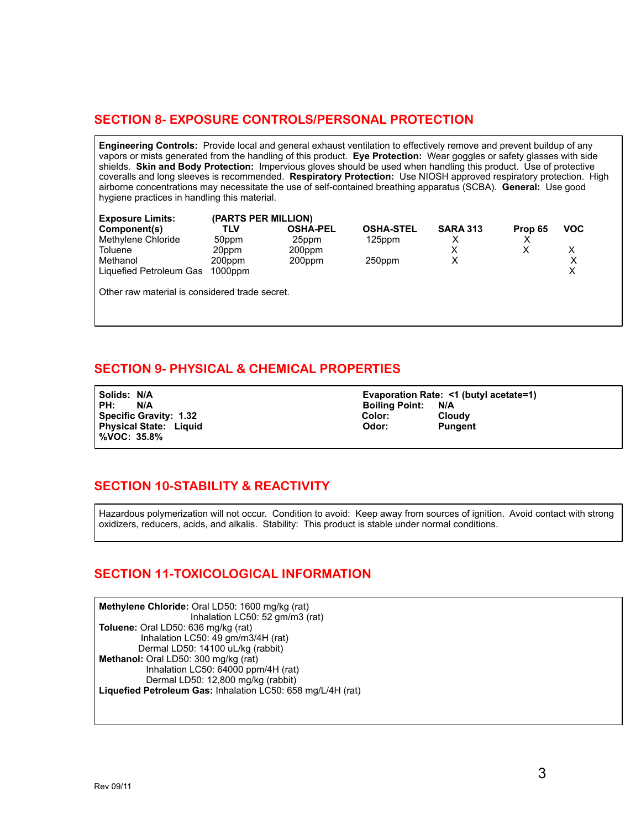# **SECTION 8- EXPOSURE CONTROLS/PERSONAL PROTECTION**

**Engineering Controls:** Provide local and general exhaust ventilation to effectively remove and prevent buildup of any vapors or mists generated from the handling of this product. **Eye Protection:** Wear goggles or safety glasses with side shields. **Skin and Body Protection:** Impervious gloves should be used when handling this product. Use of protective coveralls and long sleeves is recommended. **Respiratory Protection:** Use NIOSH approved respiratory protection. High airborne concentrations may necessitate the use of self-contained breathing apparatus (SCBA). **General:** Use good hygiene practices in handling this material.

| <b>Exposure Limits:</b>                        | (PARTS PER MILLION) |                 |                  |                 |         |            |
|------------------------------------------------|---------------------|-----------------|------------------|-----------------|---------|------------|
| Component(s)                                   | TLV                 | <b>OSHA-PEL</b> | <b>OSHA-STEL</b> | <b>SARA 313</b> | Prop 65 | <b>VOC</b> |
| Methylene Chloride                             | 50ppm               | 25ppm           | $125$ ppm        | х               |         |            |
| Toluene                                        | 20ppm               | 200ppm          |                  |                 |         | х          |
| Methanol                                       | 200ppm              | 200ppm          | 250ppm           | х               |         | Х          |
| Liquefied Petroleum Gas                        | $1000$ ppm          |                 |                  |                 |         | Χ          |
|                                                |                     |                 |                  |                 |         |            |
| Other raw material is considered trade secret. |                     |                 |                  |                 |         |            |
|                                                |                     |                 |                  |                 |         |            |

# **SECTION 9- PHYSICAL & CHEMICAL PROPERTIES**

**Physical State: Liquid %VOC: 35.8%** 

**Solids: N/A Evaporation Rate: <1 (butyl acetate=1)** PH: N/A<br> **PH: N/A Boiling Point: N/A Boiling Point: N/A**<br>
Color: Cloudy **Specific Gravity: 1.32 Color:** Color: Cloudy<br>Physical State: Liquid Color: Pungent

#### **SECTION 10-STABILITY & REACTIVITY**

Hazardous polymerization will not occur. Condition to avoid: Keep away from sources of ignition. Avoid contact with strong oxidizers, reducers, acids, and alkalis. Stability: This product is stable under normal conditions.

#### **SECTION 11-TOXICOLOGICAL INFORMATION**

**Methylene Chloride:** Oral LD50: 1600 mg/kg (rat) Inhalation LC50: 52 gm/m3 (rat) **Toluene:** Oral LD50: 636 mg/kg (rat) Inhalation LC50: 49 gm/m3/4H (rat) Dermal LD50: 14100 uL/kg (rabbit) **Methanol:** Oral LD50: 300 mg/kg (rat) Inhalation LC50: 64000 ppm/4H (rat) Dermal LD50: 12,800 mg/kg (rabbit) **Liquefied Petroleum Gas:** Inhalation LC50: 658 mg/L/4H (rat)